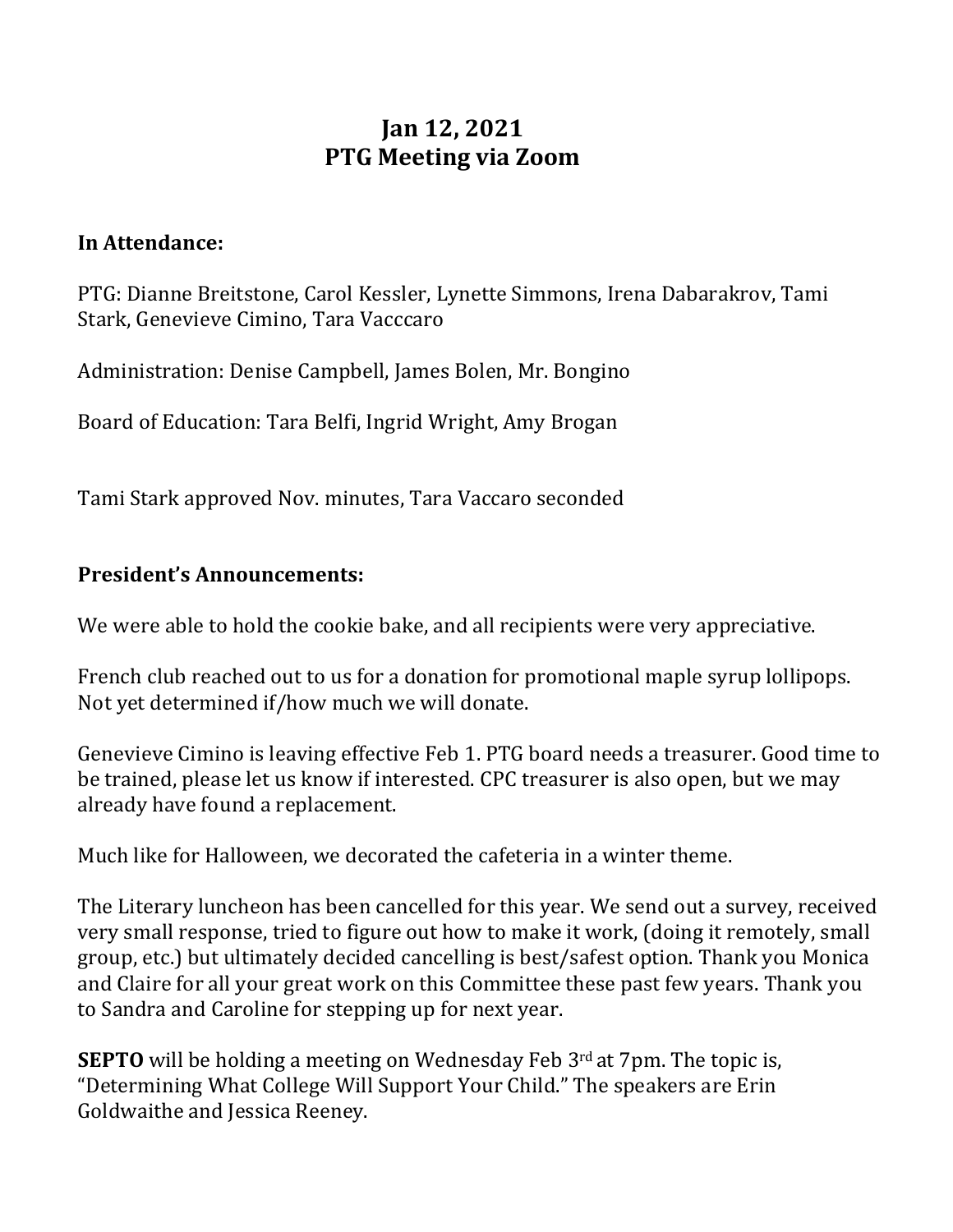# **Jan 12, 2021 PTG Meeting via Zoom**

#### **In Attendance:**

PTG: Dianne Breitstone, Carol Kessler, Lynette Simmons, Irena Dabarakrov, Tami Stark, Genevieve Cimino, Tara Vacccaro

Administration: Denise Campbell, James Bolen, Mr. Bongino

Board of Education: Tara Belfi, Ingrid Wright, Amy Brogan

Tami Stark approved Nov. minutes, Tara Vaccaro seconded

### **President's Announcements:**

We were able to hold the cookie bake, and all recipients were very appreciative.

French club reached out to us for a donation for promotional maple syrup lollipops. Not vet determined if/how much we will donate.

Genevieve Cimino is leaving effective Feb 1. PTG board needs a treasurer. Good time to be trained, please let us know if interested. CPC treasurer is also open, but we may already have found a replacement.

Much like for Halloween, we decorated the cafeteria in a winter theme.

The Literary luncheon has been cancelled for this year. We send out a survey, received very small response, tried to figure out how to make it work, (doing it remotely, small group, etc.) but ultimately decided cancelling is best/safest option. Thank you Monica and Claire for all your great work on this Committee these past few years. Thank you to Sandra and Caroline for stepping up for next year.

**SEPTO** will be holding a meeting on Wednesday Feb 3<sup>rd</sup> at 7pm. The topic is, "Determining What College Will Support Your Child." The speakers are Erin Goldwaithe and Jessica Reeney.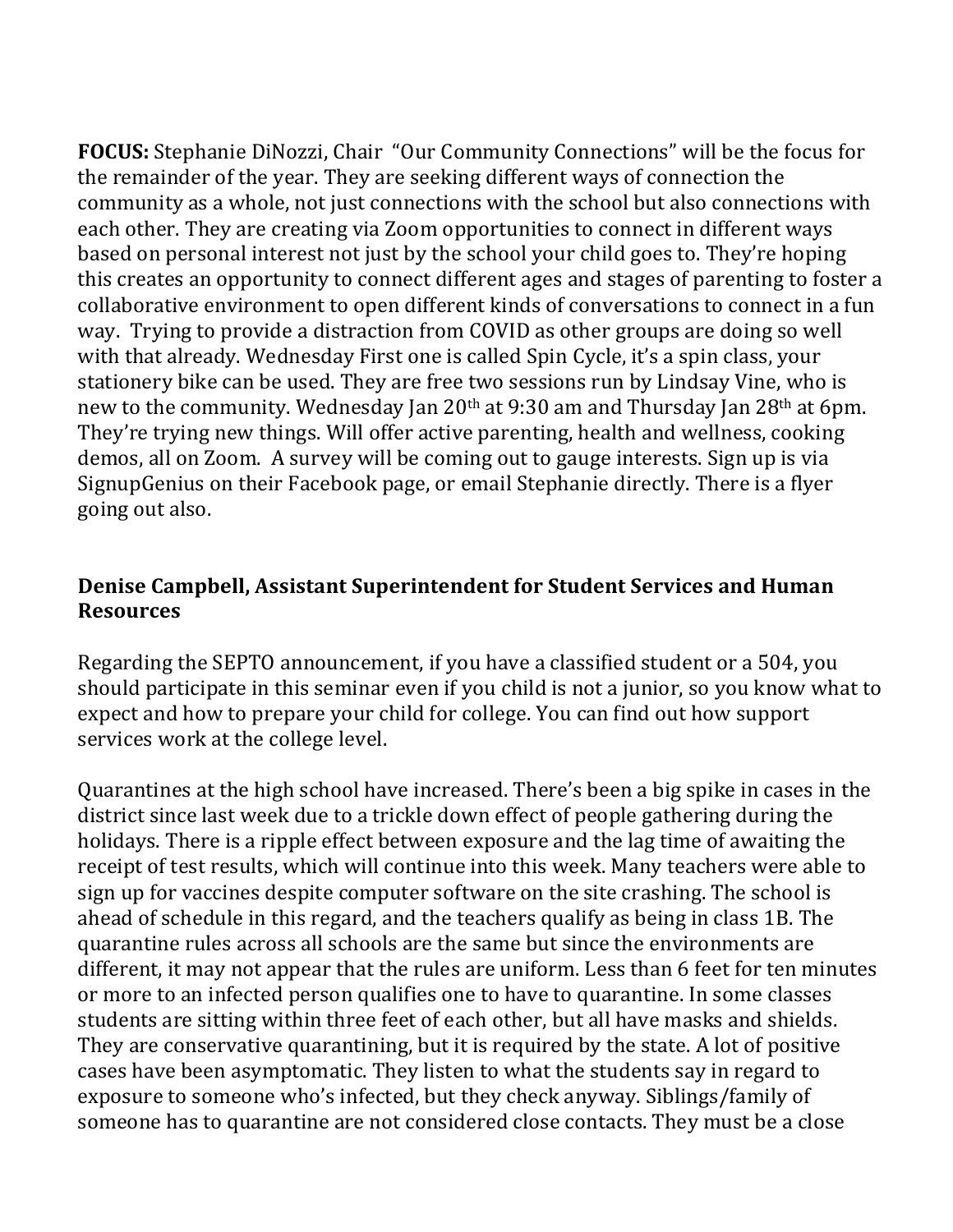**FOCUS:** Stephanie DiNozzi, Chair "Our Community Connections" will be the focus for the remainder of the year. They are seeking different ways of connection the community as a whole, not just connections with the school but also connections with each other. They are creating via Zoom opportunities to connect in different ways based on personal interest not just by the school your child goes to. They're hoping this creates an opportunity to connect different ages and stages of parenting to foster a collaborative environment to open different kinds of conversations to connect in a fun way. Trying to provide a distraction from COVID as other groups are doing so well with that already. Wednesday First one is called Spin Cycle, it's a spin class, your stationery bike can be used. They are free two sessions run by Lindsay Vine, who is new to the community. Wednesday Jan 20<sup>th</sup> at 9:30 am and Thursday Jan 28<sup>th</sup> at 6pm. They're trying new things. Will offer active parenting, health and wellness, cooking demos, all on Zoom. A survey will be coming out to gauge interests. Sign up is via SignupGenius on their Facebook page, or email Stephanie directly. There is a flyer going out also.

## **Denise Campbell, Assistant Superintendent for Student Services and Human Resources**

Regarding the SEPTO announcement, if you have a classified student or a 504, you should participate in this seminar even if you child is not a junior, so you know what to expect and how to prepare your child for college. You can find out how support services work at the college level.

Quarantines at the high school have increased. There's been a big spike in cases in the district since last week due to a trickle down effect of people gathering during the holidays. There is a ripple effect between exposure and the lag time of awaiting the receipt of test results, which will continue into this week. Many teachers were able to sign up for vaccines despite computer software on the site crashing. The school is ahead of schedule in this regard, and the teachers qualify as being in class 1B. The quarantine rules across all schools are the same but since the environments are different, it may not appear that the rules are uniform. Less than 6 feet for ten minutes or more to an infected person qualifies one to have to quarantine. In some classes students are sitting within three feet of each other, but all have masks and shields. They are conservative quarantining, but it is required by the state. A lot of positive cases have been asymptomatic. They listen to what the students say in regard to exposure to someone who's infected, but they check anyway. Siblings/family of someone has to quarantine are not considered close contacts. They must be a close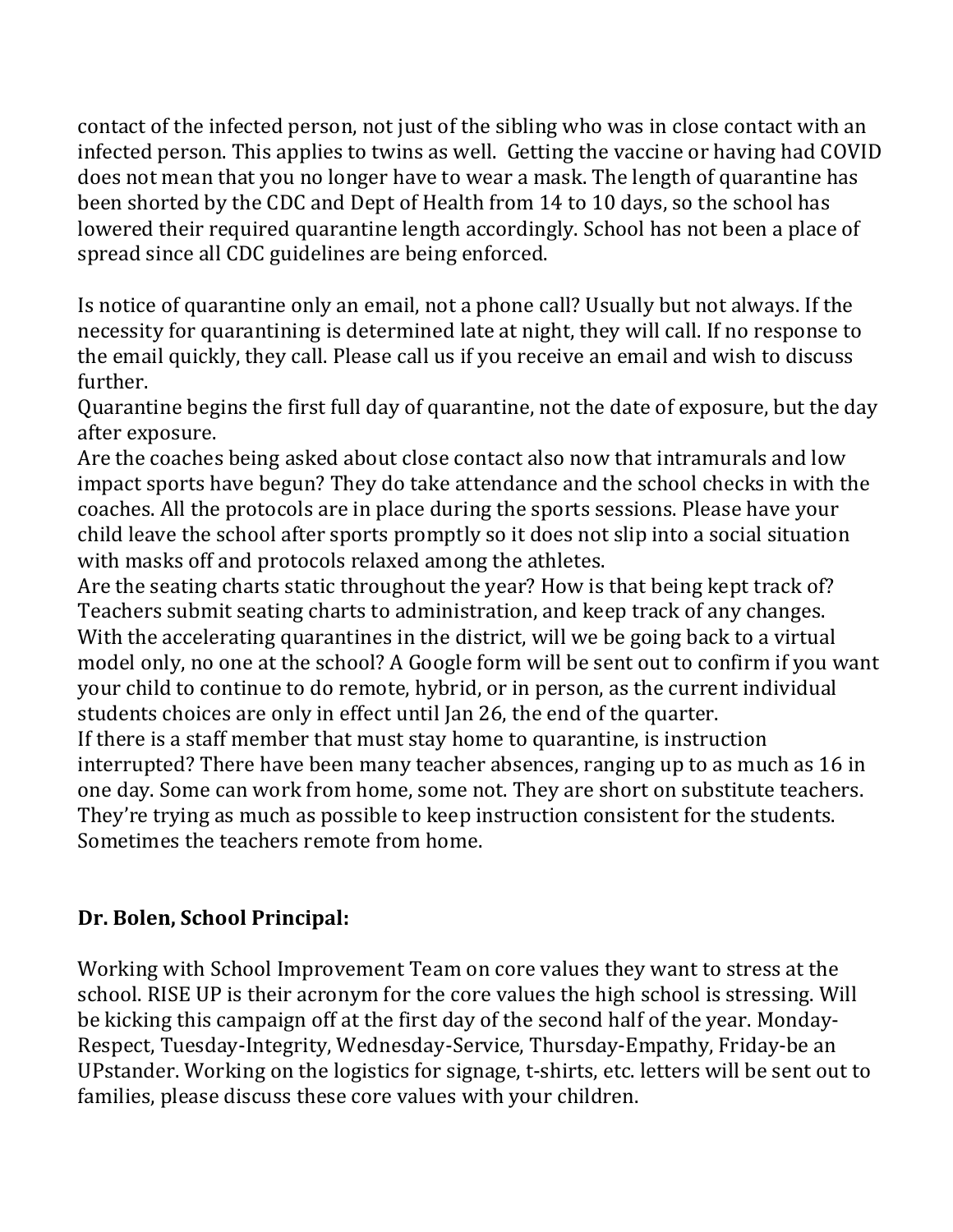contact of the infected person, not just of the sibling who was in close contact with an infected person. This applies to twins as well. Getting the vaccine or having had COVID does not mean that you no longer have to wear a mask. The length of quarantine has been shorted by the CDC and Dept of Health from 14 to 10 days, so the school has lowered their required quarantine length accordingly. School has not been a place of spread since all CDC guidelines are being enforced.

Is notice of quarantine only an email, not a phone call? Usually but not always. If the necessity for quarantining is determined late at night, they will call. If no response to the email quickly, they call. Please call us if you receive an email and wish to discuss further. 

Quarantine begins the first full day of quarantine, not the date of exposure, but the day after exposure.

Are the coaches being asked about close contact also now that intramurals and low impact sports have begun? They do take attendance and the school checks in with the coaches. All the protocols are in place during the sports sessions. Please have your child leave the school after sports promptly so it does not slip into a social situation with masks off and protocols relaxed among the athletes.

Are the seating charts static throughout the year? How is that being kept track of? Teachers submit seating charts to administration, and keep track of any changes. With the accelerating quarantines in the district, will we be going back to a virtual model only, no one at the school? A Google form will be sent out to confirm if you want your child to continue to do remote, hybrid, or in person, as the current individual students choices are only in effect until Jan 26, the end of the quarter. If there is a staff member that must stay home to quarantine, is instruction

interrupted? There have been many teacher absences, ranging up to as much as 16 in one day. Some can work from home, some not. They are short on substitute teachers. They're trying as much as possible to keep instruction consistent for the students. Sometimes the teachers remote from home.

# **Dr. Bolen, School Principal:**

Working with School Improvement Team on core values they want to stress at the school. RISE UP is their acronym for the core values the high school is stressing. Will be kicking this campaign off at the first day of the second half of the year. Monday-Respect, Tuesday-Integrity, Wednesday-Service, Thursday-Empathy, Friday-be an UPstander. Working on the logistics for signage, t-shirts, etc. letters will be sent out to families, please discuss these core values with your children.